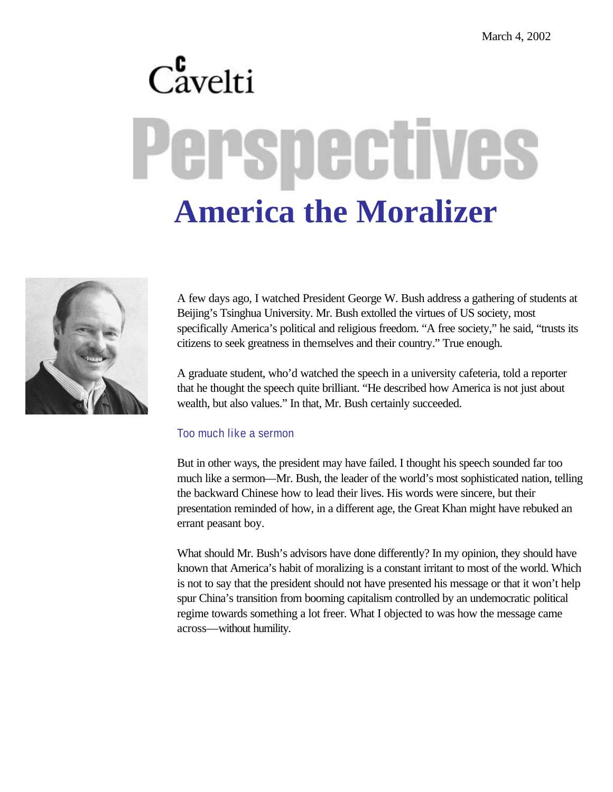## $C_{\text{avelti}}^{\text{c}}$ erspectives **America the Moralizer**



A few days ago, I watched President George W. Bush address a gathering of students at Beijing's Tsinghua University. Mr. Bush extolled the virtues of US society, most specifically America's political and religious freedom. "A free society," he said, "trusts its citizens to seek greatness in themselves and their country." True enough.

A graduate student, who'd watched the speech in a university cafeteria, told a reporter that he thought the speech quite brilliant. "He described how America is not just about wealth, but also values." In that, Mr. Bush certainly succeeded.

## Too much like a sermon

But in other ways, the president may have failed. I thought his speech sounded far too much like a sermon—Mr. Bush, the leader of the world's most sophisticated nation, telling the backward Chinese how to lead their lives. His words were sincere, but their presentation reminded of how, in a different age, the Great Khan might have rebuked an errant peasant boy.

What should Mr. Bush's advisors have done differently? In my opinion, they should have known that America's habit of moralizing is a constant irritant to most of the world. Which is not to say that the president should not have presented his message or that it won't help spur China's transition from booming capitalism controlled by an undemocratic political regime towards something a lot freer. What I objected to was how the message came across—without humility.